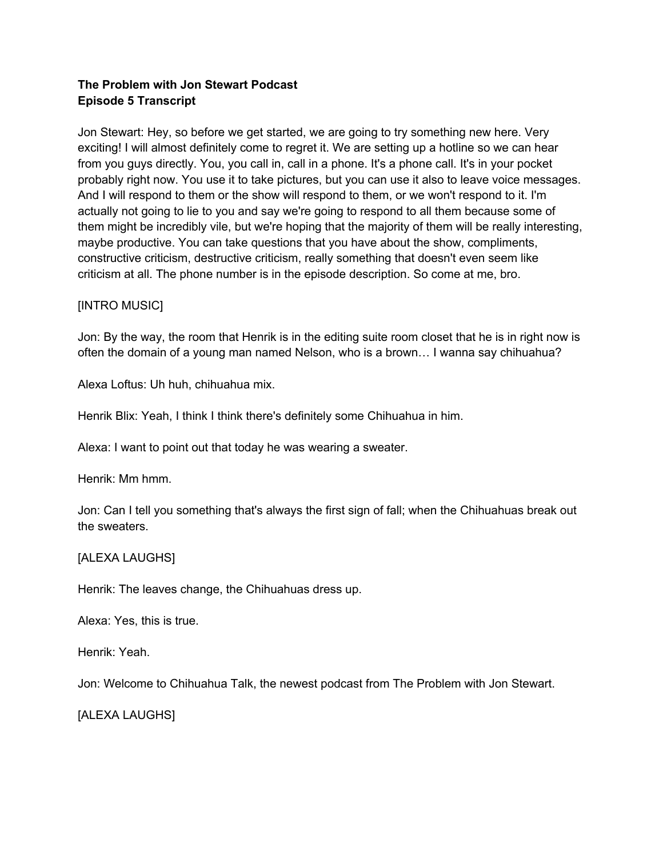## **The Problem with Jon Stewart Podcast Episode 5 Transcript**

Jon Stewart: Hey, so before we get started, we are going to try something new here. Very exciting! I will almost definitely come to regret it. We are setting up a hotline so we can hear from you guys directly. You, you call in, call in a phone. It's a phone call. It's in your pocket probably right now. You use it to take pictures, but you can use it also to leave voice messages. And I will respond to them or the show will respond to them, or we won't respond to it. I'm actually not going to lie to you and say we're going to respond to all them because some of them might be incredibly vile, but we're hoping that the majority of them will be really interesting, maybe productive. You can take questions that you have about the show, compliments, constructive criticism, destructive criticism, really something that doesn't even seem like criticism at all. The phone number is in the episode description. So come at me, bro.

### [INTRO MUSIC]

Jon: By the way, the room that Henrik is in the editing suite room closet that he is in right now is often the domain of a young man named Nelson, who is a brown… I wanna say chihuahua?

Alexa Loftus: Uh huh, chihuahua mix.

Henrik Blix: Yeah, I think I think there's definitely some Chihuahua in him.

Alexa: I want to point out that today he was wearing a sweater.

Henrik: Mm hmm.

Jon: Can I tell you something that's always the first sign of fall; when the Chihuahuas break out the sweaters.

### [ALEXA LAUGHS]

Henrik: The leaves change, the Chihuahuas dress up.

Alexa: Yes, this is true.

Henrik: Yeah.

Jon: Welcome to Chihuahua Talk, the newest podcast from The Problem with Jon Stewart.

[ALEXA LAUGHS]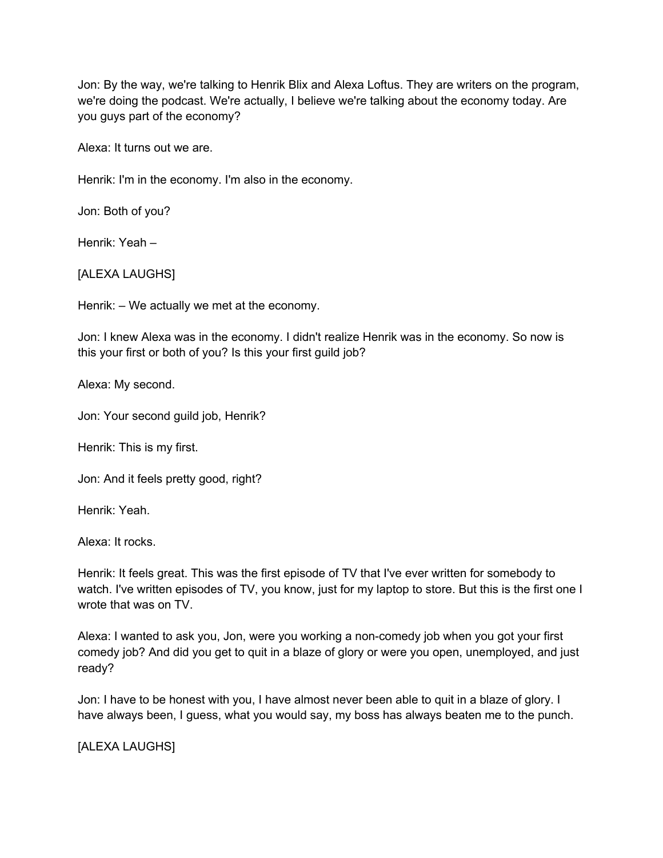Jon: By the way, we're talking to Henrik Blix and Alexa Loftus. They are writers on the program, we're doing the podcast. We're actually, I believe we're talking about the economy today. Are you guys part of the economy?

Alexa: It turns out we are.

Henrik: I'm in the economy. I'm also in the economy.

Jon: Both of you?

Henrik: Yeah –

[ALEXA LAUGHS]

Henrik: – We actually we met at the economy.

Jon: I knew Alexa was in the economy. I didn't realize Henrik was in the economy. So now is this your first or both of you? Is this your first guild job?

Alexa: My second.

Jon: Your second guild job, Henrik?

Henrik: This is my first.

Jon: And it feels pretty good, right?

Henrik: Yeah.

Alexa: It rocks.

Henrik: It feels great. This was the first episode of TV that I've ever written for somebody to watch. I've written episodes of TV, you know, just for my laptop to store. But this is the first one I wrote that was on TV.

Alexa: I wanted to ask you, Jon, were you working a non-comedy job when you got your first comedy job? And did you get to quit in a blaze of glory or were you open, unemployed, and just ready?

Jon: I have to be honest with you, I have almost never been able to quit in a blaze of glory. I have always been, I guess, what you would say, my boss has always beaten me to the punch.

[ALEXA LAUGHS]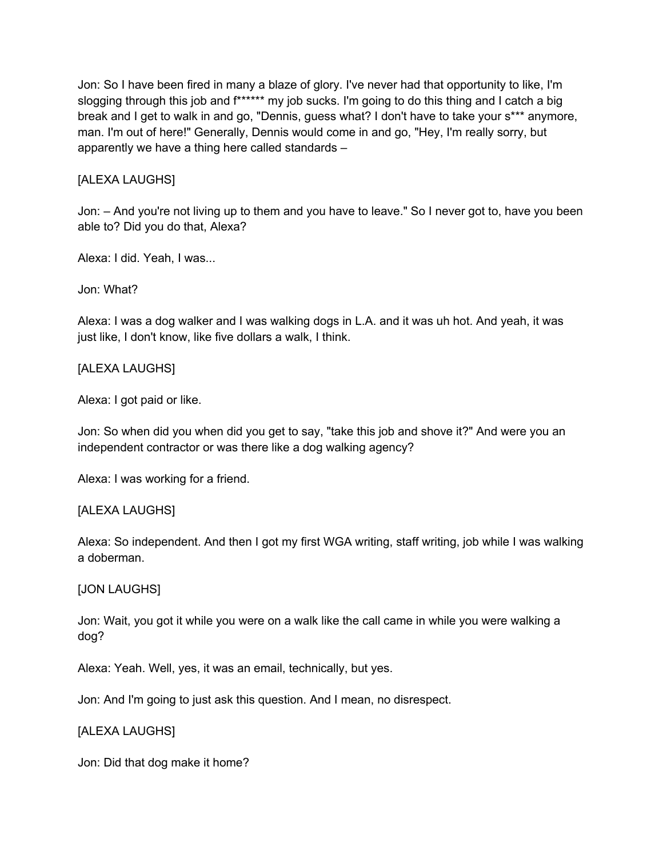Jon: So I have been fired in many a blaze of glory. I've never had that opportunity to like, I'm slogging through this job and f\*\*\*\*\*\* my job sucks. I'm going to do this thing and I catch a big break and I get to walk in and go, "Dennis, guess what? I don't have to take your s\*\*\* anymore, man. I'm out of here!" Generally, Dennis would come in and go, "Hey, I'm really sorry, but apparently we have a thing here called standards –

## [ALEXA LAUGHS]

Jon: – And you're not living up to them and you have to leave." So I never got to, have you been able to? Did you do that, Alexa?

Alexa: I did. Yeah, I was...

Jon: What?

Alexa: I was a dog walker and I was walking dogs in L.A. and it was uh hot. And yeah, it was just like, I don't know, like five dollars a walk, I think.

### [ALEXA LAUGHS]

Alexa: I got paid or like.

Jon: So when did you when did you get to say, "take this job and shove it?" And were you an independent contractor or was there like a dog walking agency?

Alexa: I was working for a friend.

### [ALEXA LAUGHS]

Alexa: So independent. And then I got my first WGA writing, staff writing, job while I was walking a doberman.

### [JON LAUGHS]

Jon: Wait, you got it while you were on a walk like the call came in while you were walking a dog?

Alexa: Yeah. Well, yes, it was an email, technically, but yes.

Jon: And I'm going to just ask this question. And I mean, no disrespect.

## [ALEXA LAUGHS]

Jon: Did that dog make it home?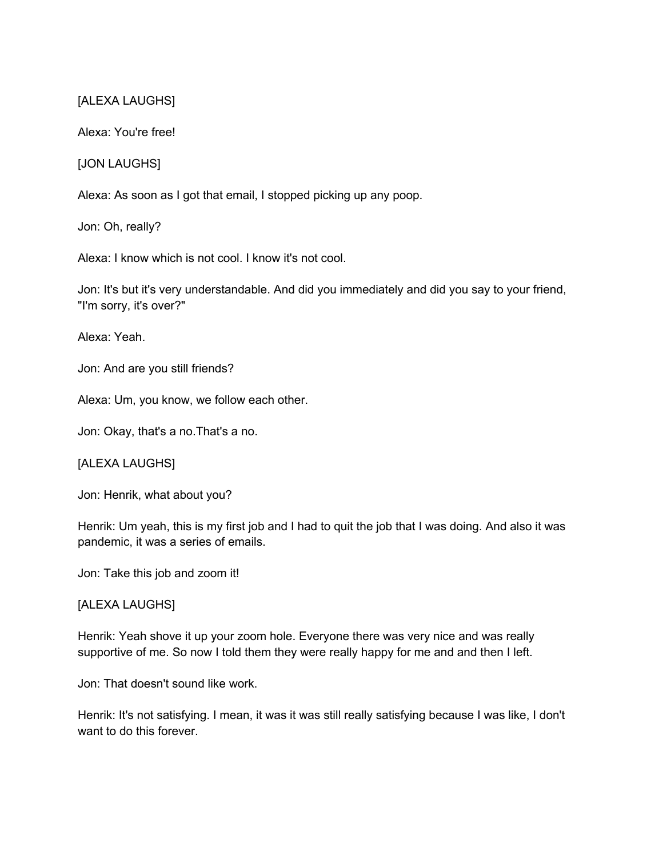### [ALEXA LAUGHS]

Alexa: You're free!

[JON LAUGHS]

Alexa: As soon as I got that email, I stopped picking up any poop.

Jon: Oh, really?

Alexa: I know which is not cool. I know it's not cool.

Jon: It's but it's very understandable. And did you immediately and did you say to your friend, "I'm sorry, it's over?"

Alexa: Yeah.

Jon: And are you still friends?

Alexa: Um, you know, we follow each other.

Jon: Okay, that's a no.That's a no.

[ALEXA LAUGHS]

Jon: Henrik, what about you?

Henrik: Um yeah, this is my first job and I had to quit the job that I was doing. And also it was pandemic, it was a series of emails.

Jon: Take this job and zoom it!

[ALEXA LAUGHS]

Henrik: Yeah shove it up your zoom hole. Everyone there was very nice and was really supportive of me. So now I told them they were really happy for me and and then I left.

Jon: That doesn't sound like work.

Henrik: It's not satisfying. I mean, it was it was still really satisfying because I was like, I don't want to do this forever.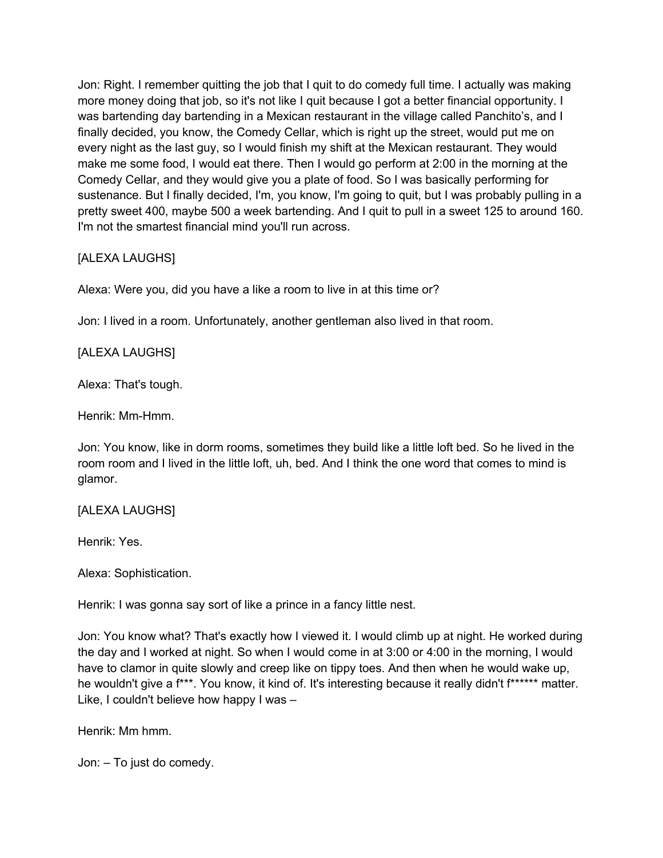Jon: Right. I remember quitting the job that I quit to do comedy full time. I actually was making more money doing that job, so it's not like I quit because I got a better financial opportunity. I was bartending day bartending in a Mexican restaurant in the village called Panchito's, and I finally decided, you know, the Comedy Cellar, which is right up the street, would put me on every night as the last guy, so I would finish my shift at the Mexican restaurant. They would make me some food, I would eat there. Then I would go perform at 2:00 in the morning at the Comedy Cellar, and they would give you a plate of food. So I was basically performing for sustenance. But I finally decided, I'm, you know, I'm going to quit, but I was probably pulling in a pretty sweet 400, maybe 500 a week bartending. And I quit to pull in a sweet 125 to around 160. I'm not the smartest financial mind you'll run across.

# [ALEXA LAUGHS]

Alexa: Were you, did you have a like a room to live in at this time or?

Jon: I lived in a room. Unfortunately, another gentleman also lived in that room.

## [ALEXA LAUGHS]

Alexa: That's tough.

Henrik: Mm-Hmm.

Jon: You know, like in dorm rooms, sometimes they build like a little loft bed. So he lived in the room room and I lived in the little loft, uh, bed. And I think the one word that comes to mind is glamor.

## [ALEXA LAUGHS]

Henrik: Yes.

Alexa: Sophistication.

Henrik: I was gonna say sort of like a prince in a fancy little nest.

Jon: You know what? That's exactly how I viewed it. I would climb up at night. He worked during the day and I worked at night. So when I would come in at 3:00 or 4:00 in the morning, I would have to clamor in quite slowly and creep like on tippy toes. And then when he would wake up, he wouldn't give a f\*\*\*. You know, it kind of. It's interesting because it really didn't f\*\*\*\*\*\* matter. Like, I couldn't believe how happy I was –

Henrik: Mm hmm.

Jon: – To just do comedy.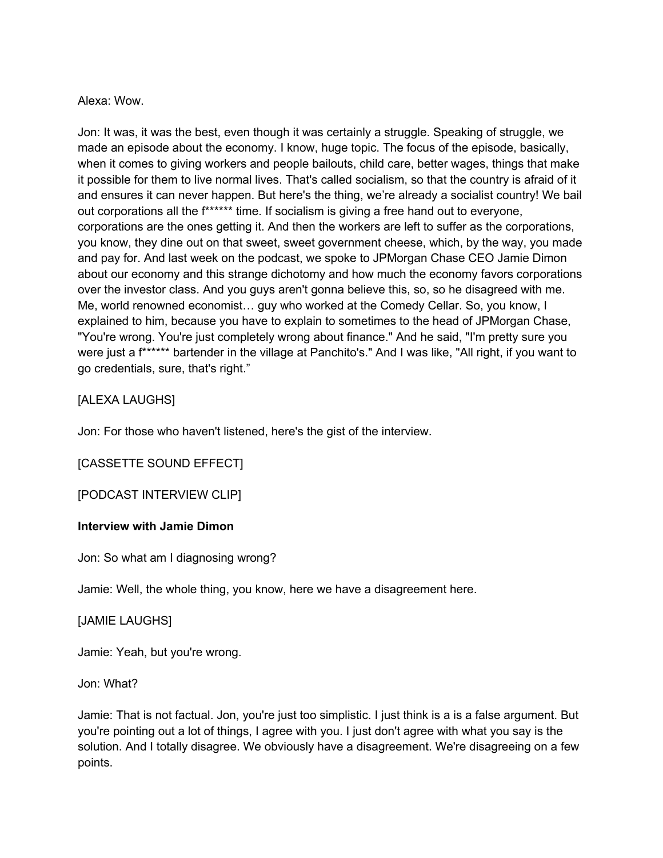### Alexa: Wow.

Jon: It was, it was the best, even though it was certainly a struggle. Speaking of struggle, we made an episode about the economy. I know, huge topic. The focus of the episode, basically, when it comes to giving workers and people bailouts, child care, better wages, things that make it possible for them to live normal lives. That's called socialism, so that the country is afraid of it and ensures it can never happen. But here's the thing, we're already a socialist country! We bail out corporations all the f\*\*\*\*\*\* time. If socialism is giving a free hand out to everyone, corporations are the ones getting it. And then the workers are left to suffer as the corporations, you know, they dine out on that sweet, sweet government cheese, which, by the way, you made and pay for. And last week on the podcast, we spoke to JPMorgan Chase CEO Jamie Dimon about our economy and this strange dichotomy and how much the economy favors corporations over the investor class. And you guys aren't gonna believe this, so, so he disagreed with me. Me, world renowned economist… guy who worked at the Comedy Cellar. So, you know, I explained to him, because you have to explain to sometimes to the head of JPMorgan Chase, "You're wrong. You're just completely wrong about finance." And he said, "I'm pretty sure you were just a f\*\*\*\*\*\* bartender in the village at Panchito's." And I was like, "All right, if you want to go credentials, sure, that's right."

### [ALEXA LAUGHS]

Jon: For those who haven't listened, here's the gist of the interview.

## [CASSETTE SOUND EFFECT]

[PODCAST INTERVIEW CLIP]

### **Interview with Jamie Dimon**

Jon: So what am I diagnosing wrong?

Jamie: Well, the whole thing, you know, here we have a disagreement here.

## [JAMIE LAUGHS]

Jamie: Yeah, but you're wrong.

Jon: What?

Jamie: That is not factual. Jon, you're just too simplistic. I just think is a is a false argument. But you're pointing out a lot of things, I agree with you. I just don't agree with what you say is the solution. And I totally disagree. We obviously have a disagreement. We're disagreeing on a few points.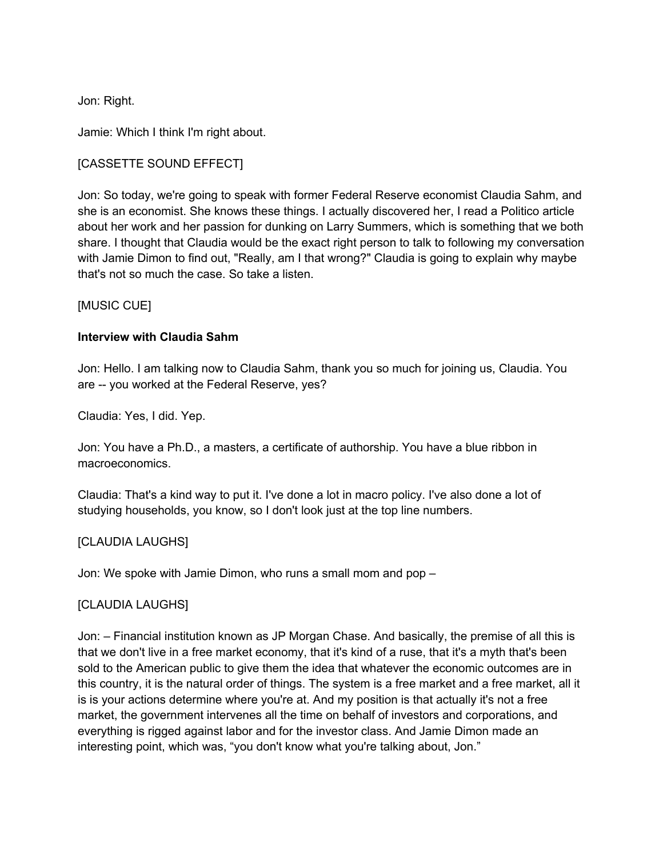Jon: Right.

Jamie: Which I think I'm right about.

### [CASSETTE SOUND EFFECT]

Jon: So today, we're going to speak with former Federal Reserve economist Claudia Sahm, and she is an economist. She knows these things. I actually discovered her, I read a Politico article about her work and her passion for dunking on Larry Summers, which is something that we both share. I thought that Claudia would be the exact right person to talk to following my conversation with Jamie Dimon to find out, "Really, am I that wrong?" Claudia is going to explain why maybe that's not so much the case. So take a listen.

### [MUSIC CUE]

### **Interview with Claudia Sahm**

Jon: Hello. I am talking now to Claudia Sahm, thank you so much for joining us, Claudia. You are -- you worked at the Federal Reserve, yes?

Claudia: Yes, I did. Yep.

Jon: You have a Ph.D., a masters, a certificate of authorship. You have a blue ribbon in macroeconomics.

Claudia: That's a kind way to put it. I've done a lot in macro policy. I've also done a lot of studying households, you know, so I don't look just at the top line numbers.

### [CLAUDIA LAUGHS]

Jon: We spoke with Jamie Dimon, who runs a small mom and pop –

### [CLAUDIA LAUGHS]

Jon: – Financial institution known as JP Morgan Chase. And basically, the premise of all this is that we don't live in a free market economy, that it's kind of a ruse, that it's a myth that's been sold to the American public to give them the idea that whatever the economic outcomes are in this country, it is the natural order of things. The system is a free market and a free market, all it is is your actions determine where you're at. And my position is that actually it's not a free market, the government intervenes all the time on behalf of investors and corporations, and everything is rigged against labor and for the investor class. And Jamie Dimon made an interesting point, which was, "you don't know what you're talking about, Jon."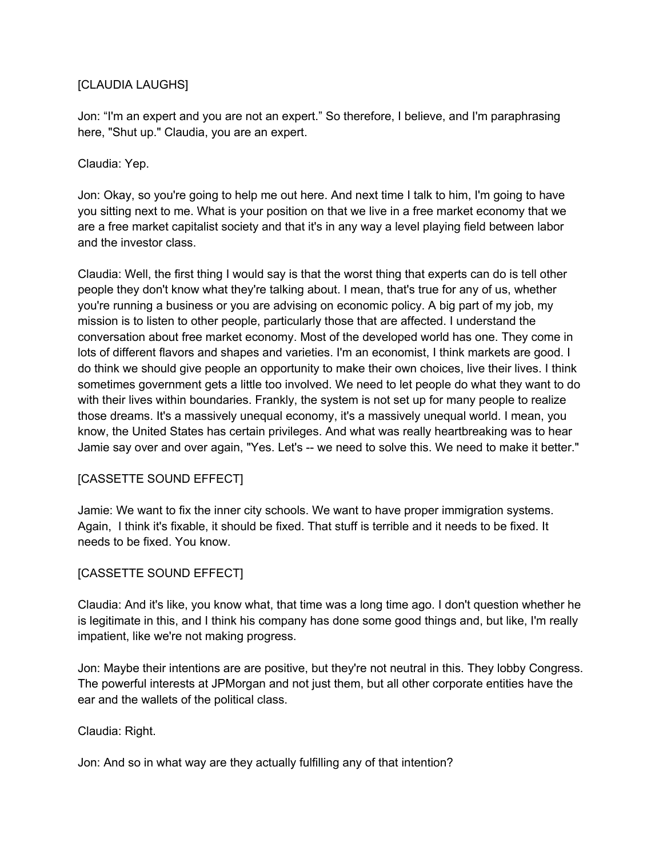## [CLAUDIA LAUGHS]

Jon: "I'm an expert and you are not an expert." So therefore, I believe, and I'm paraphrasing here, "Shut up." Claudia, you are an expert.

## Claudia: Yep.

Jon: Okay, so you're going to help me out here. And next time I talk to him, I'm going to have you sitting next to me. What is your position on that we live in a free market economy that we are a free market capitalist society and that it's in any way a level playing field between labor and the investor class.

Claudia: Well, the first thing I would say is that the worst thing that experts can do is tell other people they don't know what they're talking about. I mean, that's true for any of us, whether you're running a business or you are advising on economic policy. A big part of my job, my mission is to listen to other people, particularly those that are affected. I understand the conversation about free market economy. Most of the developed world has one. They come in lots of different flavors and shapes and varieties. I'm an economist, I think markets are good. I do think we should give people an opportunity to make their own choices, live their lives. I think sometimes government gets a little too involved. We need to let people do what they want to do with their lives within boundaries. Frankly, the system is not set up for many people to realize those dreams. It's a massively unequal economy, it's a massively unequal world. I mean, you know, the United States has certain privileges. And what was really heartbreaking was to hear Jamie say over and over again, "Yes. Let's -- we need to solve this. We need to make it better."

## [CASSETTE SOUND EFFECT]

Jamie: We want to fix the inner city schools. We want to have proper immigration systems. Again, I think it's fixable, it should be fixed. That stuff is terrible and it needs to be fixed. It needs to be fixed. You know.

## [CASSETTE SOUND EFFECT]

Claudia: And it's like, you know what, that time was a long time ago. I don't question whether he is legitimate in this, and I think his company has done some good things and, but like, I'm really impatient, like we're not making progress.

Jon: Maybe their intentions are are positive, but they're not neutral in this. They lobby Congress. The powerful interests at JPMorgan and not just them, but all other corporate entities have the ear and the wallets of the political class.

Claudia: Right.

Jon: And so in what way are they actually fulfilling any of that intention?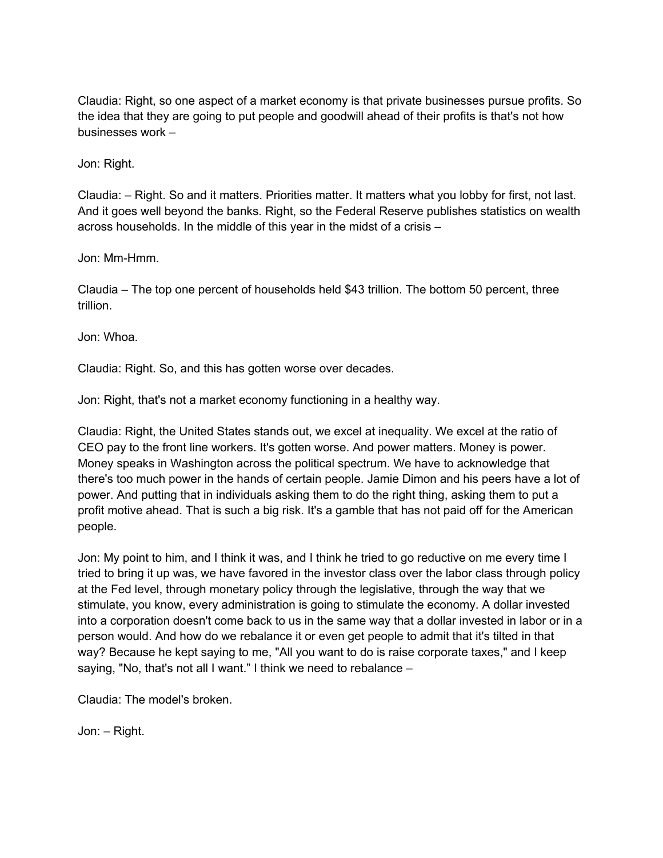Claudia: Right, so one aspect of a market economy is that private businesses pursue profits. So the idea that they are going to put people and goodwill ahead of their profits is that's not how businesses work –

Jon: Right.

Claudia: – Right. So and it matters. Priorities matter. It matters what you lobby for first, not last. And it goes well beyond the banks. Right, so the Federal Reserve publishes statistics on wealth across households. In the middle of this year in the midst of a crisis –

Jon: Mm-Hmm.

Claudia – The top one percent of households held \$43 trillion. The bottom 50 percent, three trillion.

Jon: Whoa.

Claudia: Right. So, and this has gotten worse over decades.

Jon: Right, that's not a market economy functioning in a healthy way.

Claudia: Right, the United States stands out, we excel at inequality. We excel at the ratio of CEO pay to the front line workers. It's gotten worse. And power matters. Money is power. Money speaks in Washington across the political spectrum. We have to acknowledge that there's too much power in the hands of certain people. Jamie Dimon and his peers have a lot of power. And putting that in individuals asking them to do the right thing, asking them to put a profit motive ahead. That is such a big risk. It's a gamble that has not paid off for the American people.

Jon: My point to him, and I think it was, and I think he tried to go reductive on me every time I tried to bring it up was, we have favored in the investor class over the labor class through policy at the Fed level, through monetary policy through the legislative, through the way that we stimulate, you know, every administration is going to stimulate the economy. A dollar invested into a corporation doesn't come back to us in the same way that a dollar invested in labor or in a person would. And how do we rebalance it or even get people to admit that it's tilted in that way? Because he kept saying to me, "All you want to do is raise corporate taxes," and I keep saying, "No, that's not all I want." I think we need to rebalance –

Claudia: The model's broken.

Jon: – Right.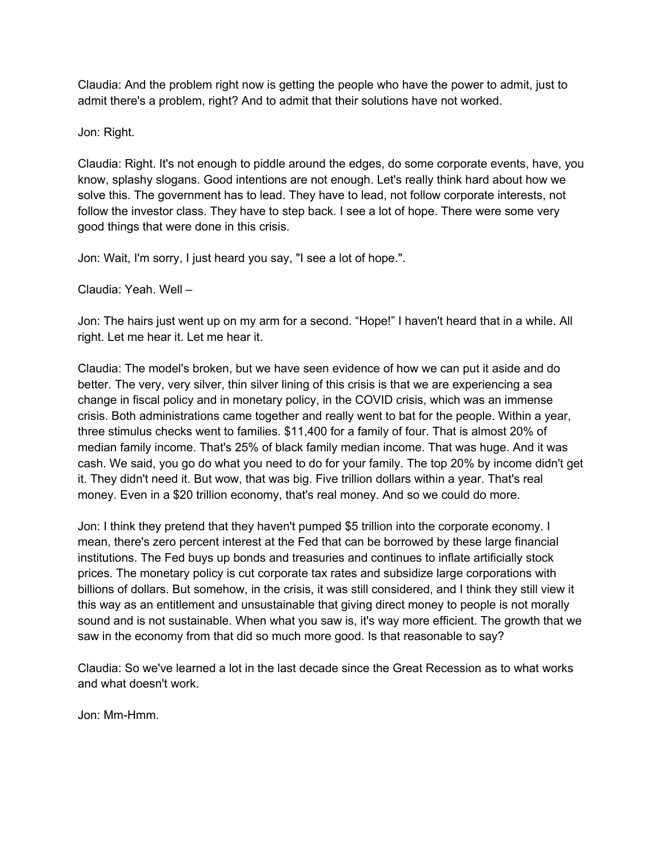Claudia: And the problem right now is getting the people who have the power to admit, just to admit there's a problem, right? And to admit that their solutions have not worked.

Jon: Right.

Claudia: Right. It's not enough to piddle around the edges, do some corporate events, have, you know, splashy slogans. Good intentions are not enough. Let's really think hard about how we solve this. The government has to lead. They have to lead, not follow corporate interests, not follow the investor class. They have to step back. I see a lot of hope. There were some very good things that were done in this crisis.

Jon: Wait, I'm sorry, I just heard you say, "I see a lot of hope.".

Claudia: Yeah. Well –

Jon: The hairs just went up on my arm for a second. "Hope!" I haven't heard that in a while. All right. Let me hear it. Let me hear it.

Claudia: The model's broken, but we have seen evidence of how we can put it aside and do better. The very, very silver, thin silver lining of this crisis is that we are experiencing a sea change in fiscal policy and in monetary policy, in the COVID crisis, which was an immense crisis. Both administrations came together and really went to bat for the people. Within a year, three stimulus checks went to families. \$11,400 for a family of four. That is almost 20% of median family income. That's 25% of black family median income. That was huge. And it was cash. We said, you go do what you need to do for your family. The top 20% by income didn't get it. They didn't need it. But wow, that was big. Five trillion dollars within a year. That's real money. Even in a \$20 trillion economy, that's real money. And so we could do more.

Jon: I think they pretend that they haven't pumped \$5 trillion into the corporate economy. I mean, there's zero percent interest at the Fed that can be borrowed by these large financial institutions. The Fed buys up bonds and treasuries and continues to inflate artificially stock prices. The monetary policy is cut corporate tax rates and subsidize large corporations with billions of dollars. But somehow, in the crisis, it was still considered, and I think they still view it this way as an entitlement and unsustainable that giving direct money to people is not morally sound and is not sustainable. When what you saw is, it's way more efficient. The growth that we saw in the economy from that did so much more good. Is that reasonable to say?

Claudia: So we've learned a lot in the last decade since the Great Recession as to what works and what doesn't work.

Jon: Mm-Hmm.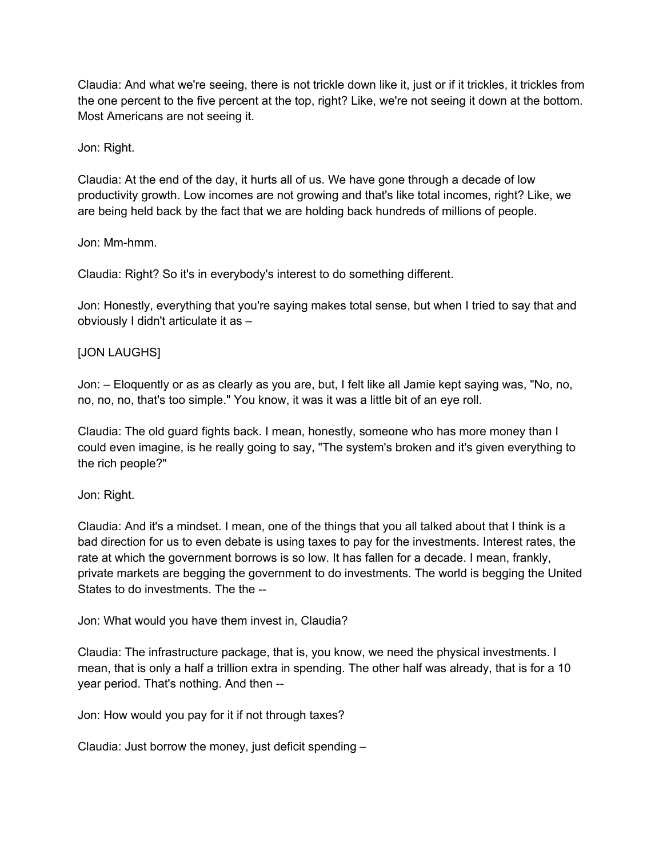Claudia: And what we're seeing, there is not trickle down like it, just or if it trickles, it trickles from the one percent to the five percent at the top, right? Like, we're not seeing it down at the bottom. Most Americans are not seeing it.

### Jon: Right.

Claudia: At the end of the day, it hurts all of us. We have gone through a decade of low productivity growth. Low incomes are not growing and that's like total incomes, right? Like, we are being held back by the fact that we are holding back hundreds of millions of people.

### Jon: Mm-hmm.

Claudia: Right? So it's in everybody's interest to do something different.

Jon: Honestly, everything that you're saying makes total sense, but when I tried to say that and obviously I didn't articulate it as –

### [JON LAUGHS]

Jon: – Eloquently or as as clearly as you are, but, I felt like all Jamie kept saying was, "No, no, no, no, no, that's too simple." You know, it was it was a little bit of an eye roll.

Claudia: The old guard fights back. I mean, honestly, someone who has more money than I could even imagine, is he really going to say, "The system's broken and it's given everything to the rich people?"

### Jon: Right.

Claudia: And it's a mindset. I mean, one of the things that you all talked about that I think is a bad direction for us to even debate is using taxes to pay for the investments. Interest rates, the rate at which the government borrows is so low. It has fallen for a decade. I mean, frankly, private markets are begging the government to do investments. The world is begging the United States to do investments. The the --

Jon: What would you have them invest in, Claudia?

Claudia: The infrastructure package, that is, you know, we need the physical investments. I mean, that is only a half a trillion extra in spending. The other half was already, that is for a 10 year period. That's nothing. And then --

Jon: How would you pay for it if not through taxes?

Claudia: Just borrow the money, just deficit spending –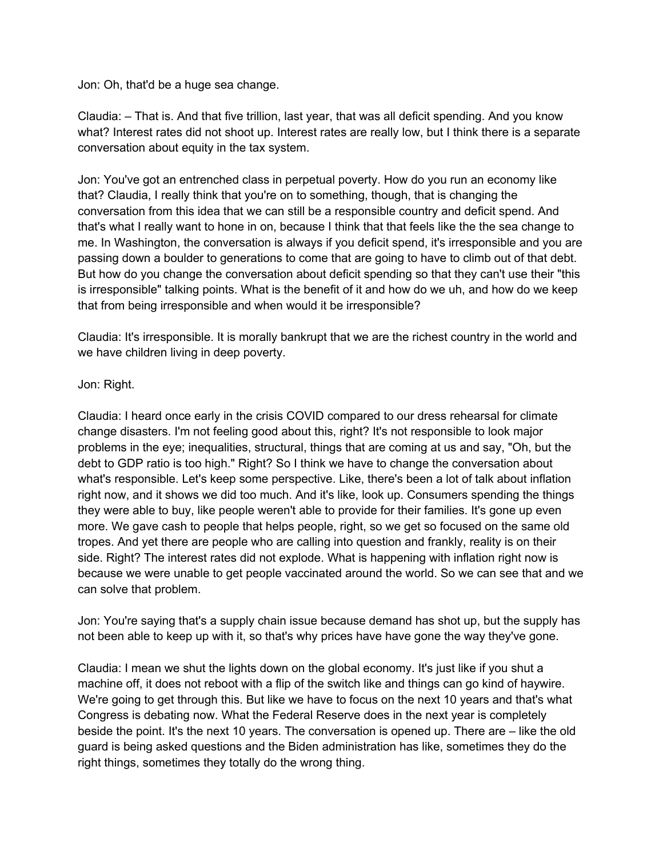Jon: Oh, that'd be a huge sea change.

Claudia: – That is. And that five trillion, last year, that was all deficit spending. And you know what? Interest rates did not shoot up. Interest rates are really low, but I think there is a separate conversation about equity in the tax system.

Jon: You've got an entrenched class in perpetual poverty. How do you run an economy like that? Claudia, I really think that you're on to something, though, that is changing the conversation from this idea that we can still be a responsible country and deficit spend. And that's what I really want to hone in on, because I think that that feels like the the sea change to me. In Washington, the conversation is always if you deficit spend, it's irresponsible and you are passing down a boulder to generations to come that are going to have to climb out of that debt. But how do you change the conversation about deficit spending so that they can't use their "this is irresponsible" talking points. What is the benefit of it and how do we uh, and how do we keep that from being irresponsible and when would it be irresponsible?

Claudia: It's irresponsible. It is morally bankrupt that we are the richest country in the world and we have children living in deep poverty.

### Jon: Right.

Claudia: I heard once early in the crisis COVID compared to our dress rehearsal for climate change disasters. I'm not feeling good about this, right? It's not responsible to look major problems in the eye; inequalities, structural, things that are coming at us and say, "Oh, but the debt to GDP ratio is too high." Right? So I think we have to change the conversation about what's responsible. Let's keep some perspective. Like, there's been a lot of talk about inflation right now, and it shows we did too much. And it's like, look up. Consumers spending the things they were able to buy, like people weren't able to provide for their families. It's gone up even more. We gave cash to people that helps people, right, so we get so focused on the same old tropes. And yet there are people who are calling into question and frankly, reality is on their side. Right? The interest rates did not explode. What is happening with inflation right now is because we were unable to get people vaccinated around the world. So we can see that and we can solve that problem.

Jon: You're saying that's a supply chain issue because demand has shot up, but the supply has not been able to keep up with it, so that's why prices have have gone the way they've gone.

Claudia: I mean we shut the lights down on the global economy. It's just like if you shut a machine off, it does not reboot with a flip of the switch like and things can go kind of haywire. We're going to get through this. But like we have to focus on the next 10 years and that's what Congress is debating now. What the Federal Reserve does in the next year is completely beside the point. It's the next 10 years. The conversation is opened up. There are – like the old guard is being asked questions and the Biden administration has like, sometimes they do the right things, sometimes they totally do the wrong thing.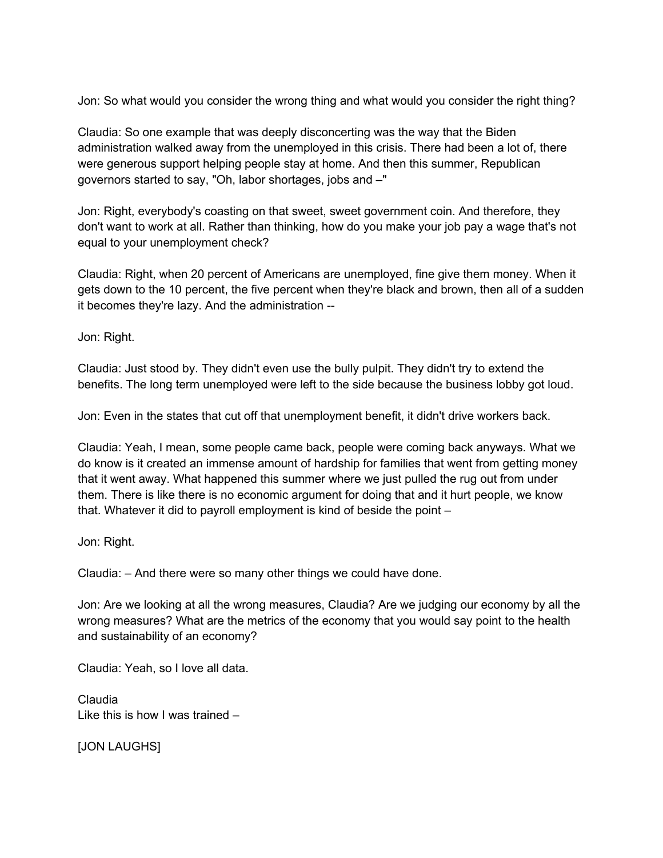Jon: So what would you consider the wrong thing and what would you consider the right thing?

Claudia: So one example that was deeply disconcerting was the way that the Biden administration walked away from the unemployed in this crisis. There had been a lot of, there were generous support helping people stay at home. And then this summer, Republican governors started to say, "Oh, labor shortages, jobs and –"

Jon: Right, everybody's coasting on that sweet, sweet government coin. And therefore, they don't want to work at all. Rather than thinking, how do you make your job pay a wage that's not equal to your unemployment check?

Claudia: Right, when 20 percent of Americans are unemployed, fine give them money. When it gets down to the 10 percent, the five percent when they're black and brown, then all of a sudden it becomes they're lazy. And the administration --

Jon: Right.

Claudia: Just stood by. They didn't even use the bully pulpit. They didn't try to extend the benefits. The long term unemployed were left to the side because the business lobby got loud.

Jon: Even in the states that cut off that unemployment benefit, it didn't drive workers back.

Claudia: Yeah, I mean, some people came back, people were coming back anyways. What we do know is it created an immense amount of hardship for families that went from getting money that it went away. What happened this summer where we just pulled the rug out from under them. There is like there is no economic argument for doing that and it hurt people, we know that. Whatever it did to payroll employment is kind of beside the point –

Jon: Right.

Claudia: – And there were so many other things we could have done.

Jon: Are we looking at all the wrong measures, Claudia? Are we judging our economy by all the wrong measures? What are the metrics of the economy that you would say point to the health and sustainability of an economy?

Claudia: Yeah, so I love all data.

Claudia Like this is how I was trained –

[JON LAUGHS]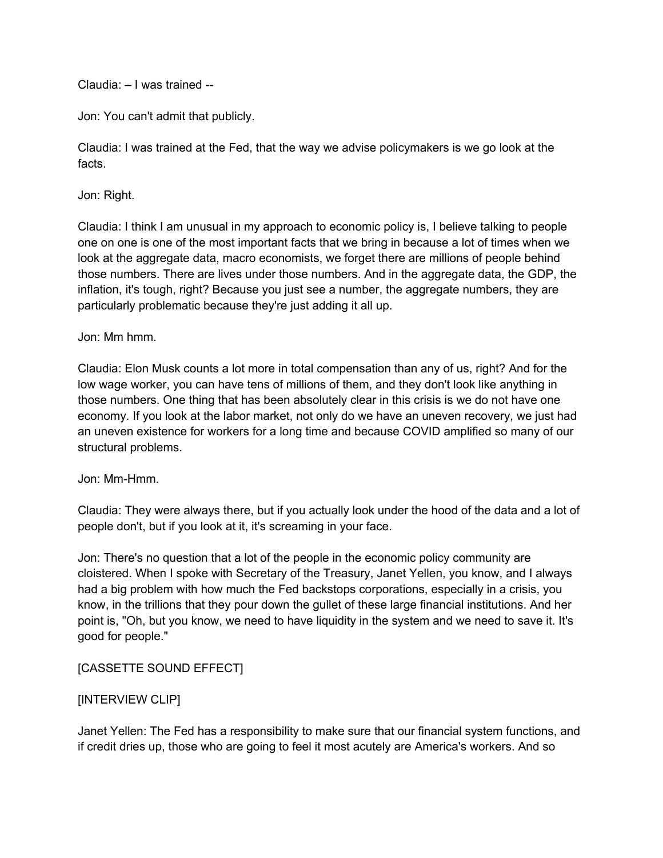Claudia: – I was trained --

Jon: You can't admit that publicly.

Claudia: I was trained at the Fed, that the way we advise policymakers is we go look at the facts.

Jon: Right.

Claudia: I think I am unusual in my approach to economic policy is, I believe talking to people one on one is one of the most important facts that we bring in because a lot of times when we look at the aggregate data, macro economists, we forget there are millions of people behind those numbers. There are lives under those numbers. And in the aggregate data, the GDP, the inflation, it's tough, right? Because you just see a number, the aggregate numbers, they are particularly problematic because they're just adding it all up.

### Jon: Mm hmm.

Claudia: Elon Musk counts a lot more in total compensation than any of us, right? And for the low wage worker, you can have tens of millions of them, and they don't look like anything in those numbers. One thing that has been absolutely clear in this crisis is we do not have one economy. If you look at the labor market, not only do we have an uneven recovery, we just had an uneven existence for workers for a long time and because COVID amplified so many of our structural problems.

### Jon: Mm-Hmm.

Claudia: They were always there, but if you actually look under the hood of the data and a lot of people don't, but if you look at it, it's screaming in your face.

Jon: There's no question that a lot of the people in the economic policy community are cloistered. When I spoke with Secretary of the Treasury, Janet Yellen, you know, and I always had a big problem with how much the Fed backstops corporations, especially in a crisis, you know, in the trillions that they pour down the gullet of these large financial institutions. And her point is, "Oh, but you know, we need to have liquidity in the system and we need to save it. It's good for people."

### [CASSETTE SOUND EFFECT]

### [INTERVIEW CLIP]

Janet Yellen: The Fed has a responsibility to make sure that our financial system functions, and if credit dries up, those who are going to feel it most acutely are America's workers. And so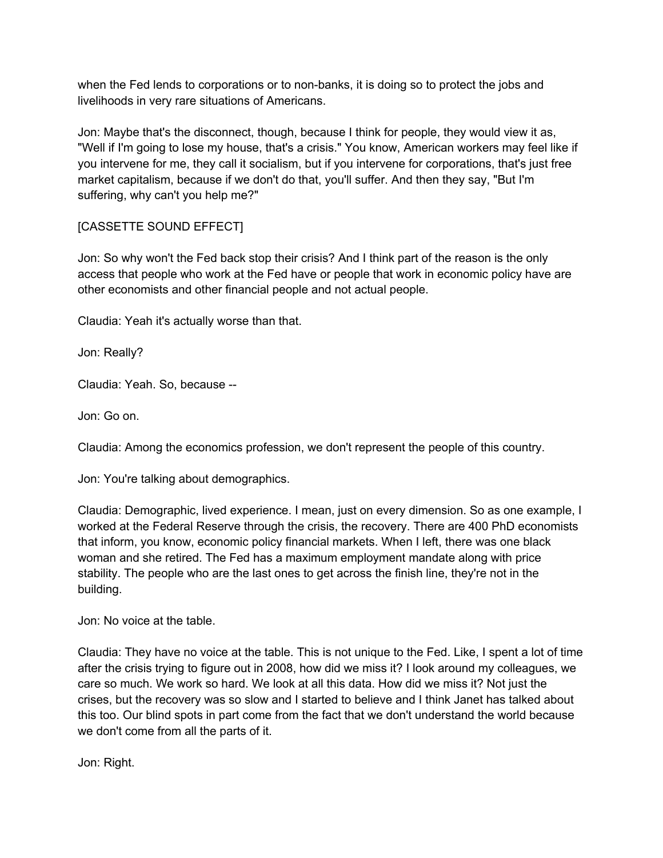when the Fed lends to corporations or to non-banks, it is doing so to protect the jobs and livelihoods in very rare situations of Americans.

Jon: Maybe that's the disconnect, though, because I think for people, they would view it as, "Well if I'm going to lose my house, that's a crisis." You know, American workers may feel like if you intervene for me, they call it socialism, but if you intervene for corporations, that's just free market capitalism, because if we don't do that, you'll suffer. And then they say, "But I'm suffering, why can't you help me?"

# [CASSETTE SOUND EFFECT]

Jon: So why won't the Fed back stop their crisis? And I think part of the reason is the only access that people who work at the Fed have or people that work in economic policy have are other economists and other financial people and not actual people.

Claudia: Yeah it's actually worse than that.

Jon: Really?

Claudia: Yeah. So, because --

Jon: Go on.

Claudia: Among the economics profession, we don't represent the people of this country.

Jon: You're talking about demographics.

Claudia: Demographic, lived experience. I mean, just on every dimension. So as one example, I worked at the Federal Reserve through the crisis, the recovery. There are 400 PhD economists that inform, you know, economic policy financial markets. When I left, there was one black woman and she retired. The Fed has a maximum employment mandate along with price stability. The people who are the last ones to get across the finish line, they're not in the building.

Jon: No voice at the table.

Claudia: They have no voice at the table. This is not unique to the Fed. Like, I spent a lot of time after the crisis trying to figure out in 2008, how did we miss it? I look around my colleagues, we care so much. We work so hard. We look at all this data. How did we miss it? Not just the crises, but the recovery was so slow and I started to believe and I think Janet has talked about this too. Our blind spots in part come from the fact that we don't understand the world because we don't come from all the parts of it.

Jon: Right.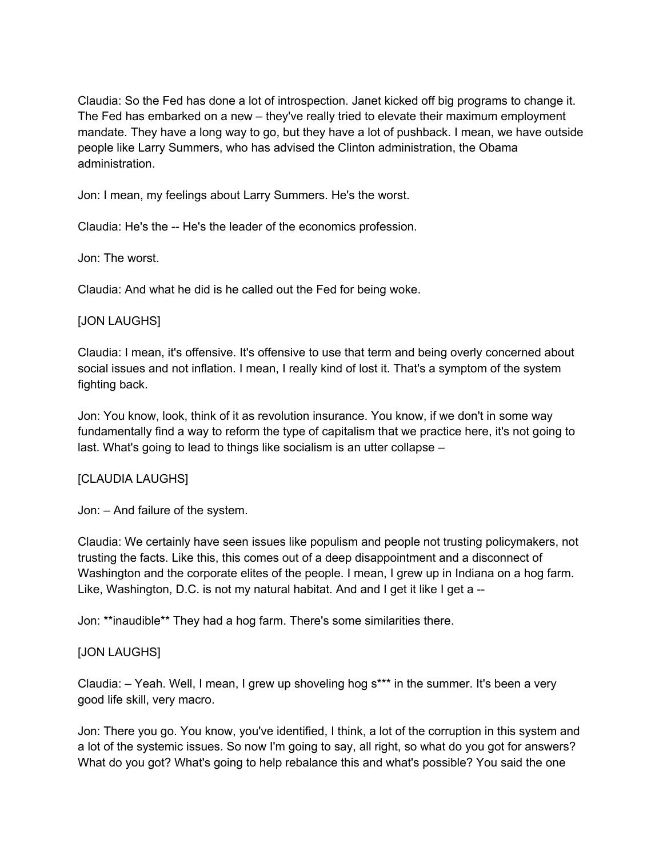Claudia: So the Fed has done a lot of introspection. Janet kicked off big programs to change it. The Fed has embarked on a new – they've really tried to elevate their maximum employment mandate. They have a long way to go, but they have a lot of pushback. I mean, we have outside people like Larry Summers, who has advised the Clinton administration, the Obama administration.

Jon: I mean, my feelings about Larry Summers. He's the worst.

Claudia: He's the -- He's the leader of the economics profession.

Jon: The worst.

Claudia: And what he did is he called out the Fed for being woke.

### [JON LAUGHS]

Claudia: I mean, it's offensive. It's offensive to use that term and being overly concerned about social issues and not inflation. I mean, I really kind of lost it. That's a symptom of the system fighting back.

Jon: You know, look, think of it as revolution insurance. You know, if we don't in some way fundamentally find a way to reform the type of capitalism that we practice here, it's not going to last. What's going to lead to things like socialism is an utter collapse –

## [CLAUDIA LAUGHS]

Jon: – And failure of the system.

Claudia: We certainly have seen issues like populism and people not trusting policymakers, not trusting the facts. Like this, this comes out of a deep disappointment and a disconnect of Washington and the corporate elites of the people. I mean, I grew up in Indiana on a hog farm. Like, Washington, D.C. is not my natural habitat. And and I get it like I get a --

Jon: \*\*inaudible\*\* They had a hog farm. There's some similarities there.

## [JON LAUGHS]

Claudia: – Yeah. Well, I mean, I grew up shoveling hog s\*\*\* in the summer. It's been a very good life skill, very macro.

Jon: There you go. You know, you've identified, I think, a lot of the corruption in this system and a lot of the systemic issues. So now I'm going to say, all right, so what do you got for answers? What do you got? What's going to help rebalance this and what's possible? You said the one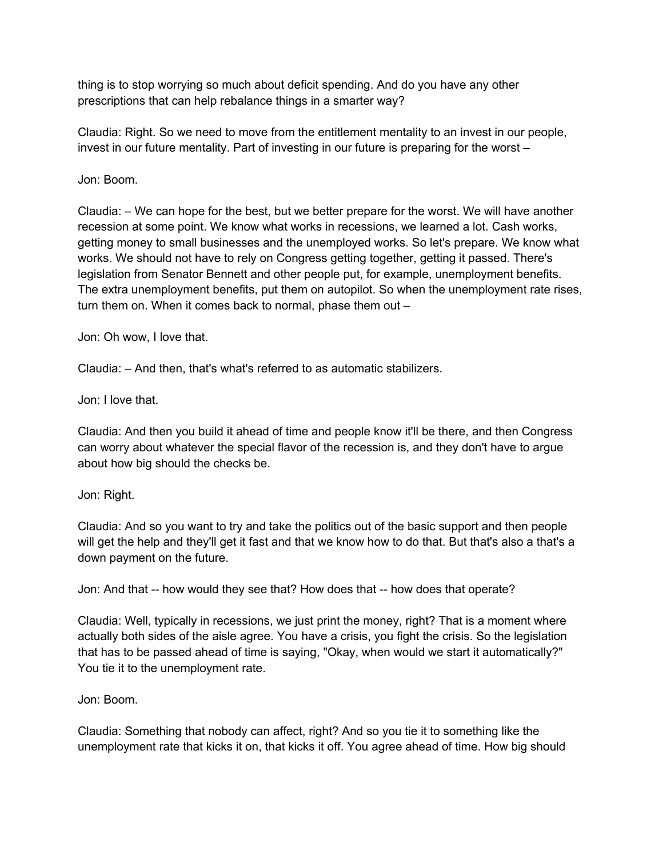thing is to stop worrying so much about deficit spending. And do you have any other prescriptions that can help rebalance things in a smarter way?

Claudia: Right. So we need to move from the entitlement mentality to an invest in our people, invest in our future mentality. Part of investing in our future is preparing for the worst –

Jon: Boom.

Claudia: – We can hope for the best, but we better prepare for the worst. We will have another recession at some point. We know what works in recessions, we learned a lot. Cash works, getting money to small businesses and the unemployed works. So let's prepare. We know what works. We should not have to rely on Congress getting together, getting it passed. There's legislation from Senator Bennett and other people put, for example, unemployment benefits. The extra unemployment benefits, put them on autopilot. So when the unemployment rate rises, turn them on. When it comes back to normal, phase them out –

Jon: Oh wow, I love that.

Claudia: – And then, that's what's referred to as automatic stabilizers.

Jon: I love that.

Claudia: And then you build it ahead of time and people know it'll be there, and then Congress can worry about whatever the special flavor of the recession is, and they don't have to argue about how big should the checks be.

Jon: Right.

Claudia: And so you want to try and take the politics out of the basic support and then people will get the help and they'll get it fast and that we know how to do that. But that's also a that's a down payment on the future.

Jon: And that -- how would they see that? How does that -- how does that operate?

Claudia: Well, typically in recessions, we just print the money, right? That is a moment where actually both sides of the aisle agree. You have a crisis, you fight the crisis. So the legislation that has to be passed ahead of time is saying, "Okay, when would we start it automatically?" You tie it to the unemployment rate.

Jon: Boom.

Claudia: Something that nobody can affect, right? And so you tie it to something like the unemployment rate that kicks it on, that kicks it off. You agree ahead of time. How big should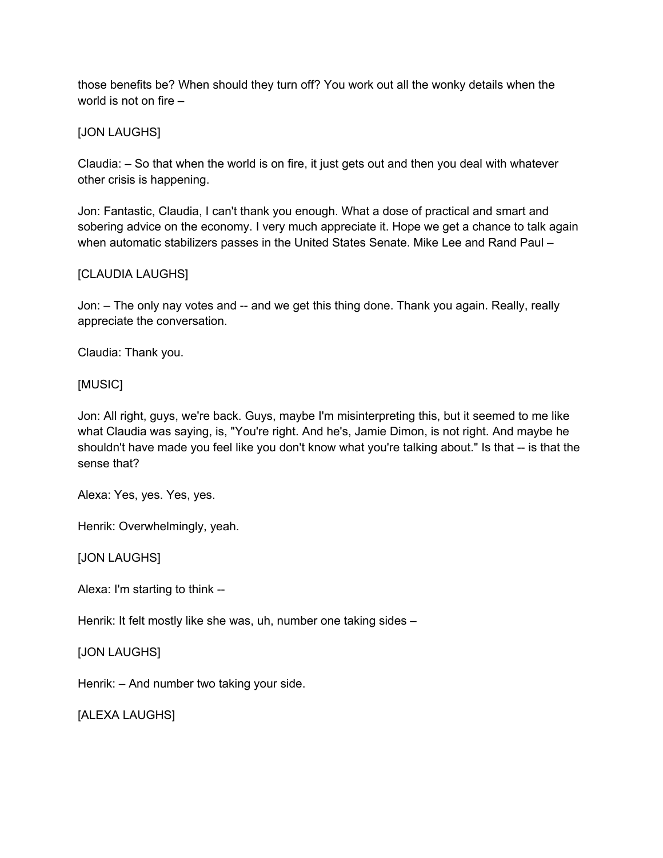those benefits be? When should they turn off? You work out all the wonky details when the world is not on fire –

[JON LAUGHS]

Claudia: – So that when the world is on fire, it just gets out and then you deal with whatever other crisis is happening.

Jon: Fantastic, Claudia, I can't thank you enough. What a dose of practical and smart and sobering advice on the economy. I very much appreciate it. Hope we get a chance to talk again when automatic stabilizers passes in the United States Senate. Mike Lee and Rand Paul –

### [CLAUDIA LAUGHS]

Jon: – The only nay votes and -- and we get this thing done. Thank you again. Really, really appreciate the conversation.

Claudia: Thank you.

[MUSIC]

Jon: All right, guys, we're back. Guys, maybe I'm misinterpreting this, but it seemed to me like what Claudia was saying, is, "You're right. And he's, Jamie Dimon, is not right. And maybe he shouldn't have made you feel like you don't know what you're talking about." Is that -- is that the sense that?

Alexa: Yes, yes. Yes, yes.

Henrik: Overwhelmingly, yeah.

[JON LAUGHS]

Alexa: I'm starting to think --

Henrik: It felt mostly like she was, uh, number one taking sides –

[JON LAUGHS]

Henrik: – And number two taking your side.

[ALEXA LAUGHS]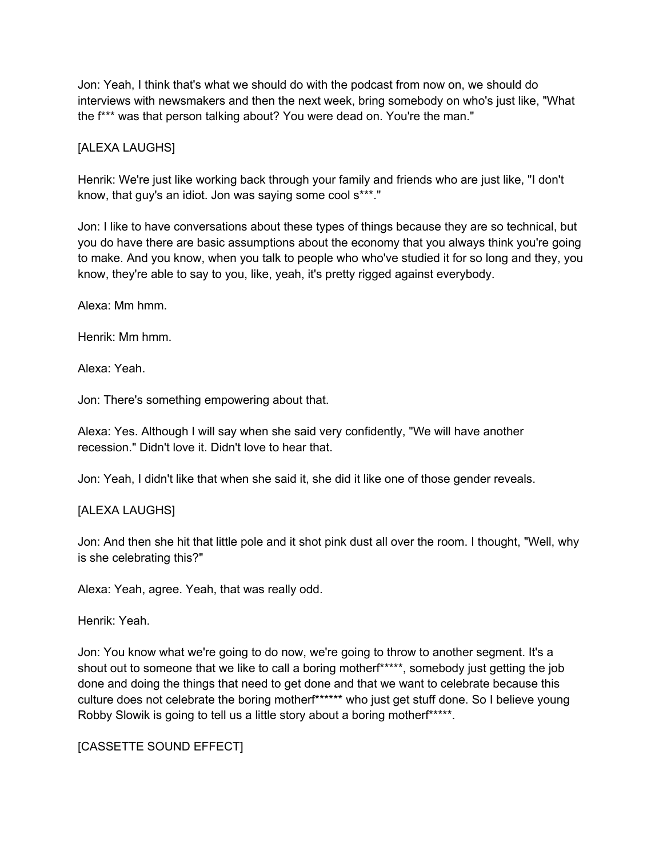Jon: Yeah, I think that's what we should do with the podcast from now on, we should do interviews with newsmakers and then the next week, bring somebody on who's just like, "What the f\*\*\* was that person talking about? You were dead on. You're the man."

## [ALEXA LAUGHS]

Henrik: We're just like working back through your family and friends who are just like, "I don't know, that guy's an idiot. Jon was saying some cool s\*\*\*."

Jon: I like to have conversations about these types of things because they are so technical, but you do have there are basic assumptions about the economy that you always think you're going to make. And you know, when you talk to people who who've studied it for so long and they, you know, they're able to say to you, like, yeah, it's pretty rigged against everybody.

Alexa: Mm hmm.

Henrik: Mm hmm.

Alexa: Yeah.

Jon: There's something empowering about that.

Alexa: Yes. Although I will say when she said very confidently, "We will have another recession." Didn't love it. Didn't love to hear that.

Jon: Yeah, I didn't like that when she said it, she did it like one of those gender reveals.

### [ALEXA LAUGHS]

Jon: And then she hit that little pole and it shot pink dust all over the room. I thought, "Well, why is she celebrating this?"

Alexa: Yeah, agree. Yeah, that was really odd.

Henrik: Yeah.

Jon: You know what we're going to do now, we're going to throw to another segment. It's a shout out to someone that we like to call a boring mother<sup>\*\*\*\*\*</sup>, somebody just getting the job done and doing the things that need to get done and that we want to celebrate because this culture does not celebrate the boring mother<sup>\*\*\*\*\*\*</sup> who just get stuff done. So I believe young Robby Slowik is going to tell us a little story about a boring motherf\*\*\*\*\*.

[CASSETTE SOUND EFFECT]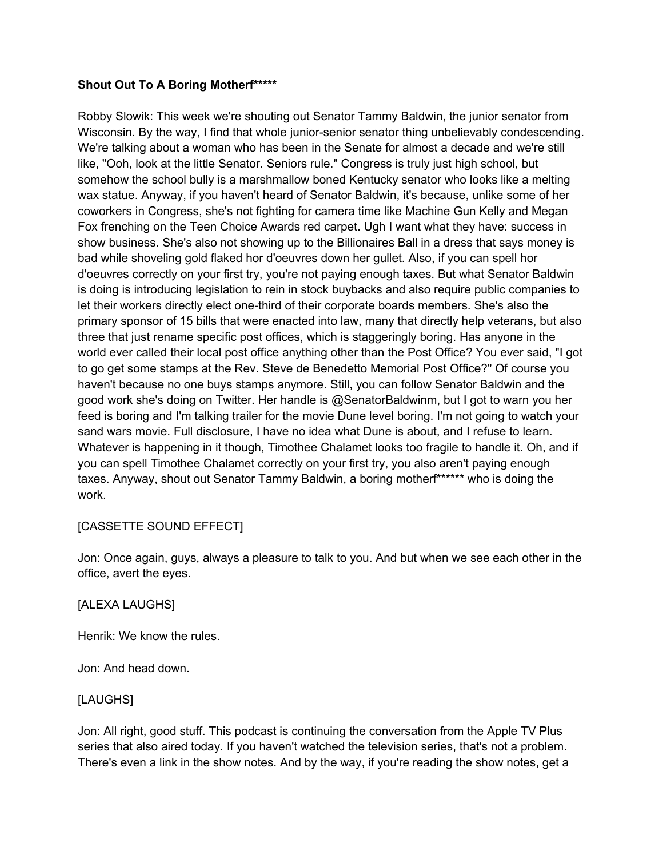### **Shout Out To A Boring Motherf\*\*\*\*\***

Robby Slowik: This week we're shouting out Senator Tammy Baldwin, the junior senator from Wisconsin. By the way, I find that whole junior-senior senator thing unbelievably condescending. We're talking about a woman who has been in the Senate for almost a decade and we're still like, "Ooh, look at the little Senator. Seniors rule." Congress is truly just high school, but somehow the school bully is a marshmallow boned Kentucky senator who looks like a melting wax statue. Anyway, if you haven't heard of Senator Baldwin, it's because, unlike some of her coworkers in Congress, she's not fighting for camera time like Machine Gun Kelly and Megan Fox frenching on the Teen Choice Awards red carpet. Ugh I want what they have: success in show business. She's also not showing up to the Billionaires Ball in a dress that says money is bad while shoveling gold flaked hor d'oeuvres down her gullet. Also, if you can spell hor d'oeuvres correctly on your first try, you're not paying enough taxes. But what Senator Baldwin is doing is introducing legislation to rein in stock buybacks and also require public companies to let their workers directly elect one-third of their corporate boards members. She's also the primary sponsor of 15 bills that were enacted into law, many that directly help veterans, but also three that just rename specific post offices, which is staggeringly boring. Has anyone in the world ever called their local post office anything other than the Post Office? You ever said, "I got to go get some stamps at the Rev. Steve de Benedetto Memorial Post Office?" Of course you haven't because no one buys stamps anymore. Still, you can follow Senator Baldwin and the good work she's doing on Twitter. Her handle is @SenatorBaldwinm, but I got to warn you her feed is boring and I'm talking trailer for the movie Dune level boring. I'm not going to watch your sand wars movie. Full disclosure, I have no idea what Dune is about, and I refuse to learn. Whatever is happening in it though, Timothee Chalamet looks too fragile to handle it. Oh, and if you can spell Timothee Chalamet correctly on your first try, you also aren't paying enough taxes. Anyway, shout out Senator Tammy Baldwin, a boring motherf\*\*\*\*\*\* who is doing the work.

### [CASSETTE SOUND EFFECT]

Jon: Once again, guys, always a pleasure to talk to you. And but when we see each other in the office, avert the eyes.

#### [ALEXA LAUGHS]

Henrik: We know the rules.

Jon: And head down.

### [LAUGHS]

Jon: All right, good stuff. This podcast is continuing the conversation from the Apple TV Plus series that also aired today. If you haven't watched the television series, that's not a problem. There's even a link in the show notes. And by the way, if you're reading the show notes, get a